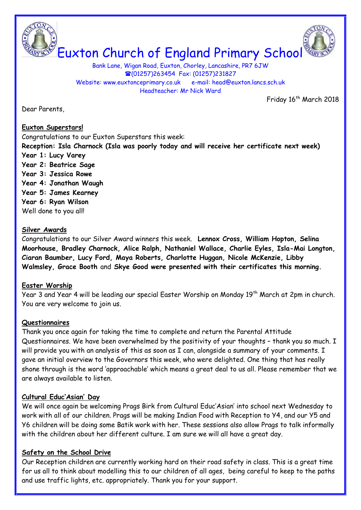



Bank Lane, Wigan Road, Euxton, Chorley, Lancashire, PR7 6JW (01257)263454 Fax: (01257)231827 Website: www.euxtonceprimary.co.uk e-mail: [head@euxton.lancs.sch.uk](mailto:head@euxton.lancs.sch.uk) Headteacher: Mr Nick Ward

Friday 16<sup>th</sup> March 2018

Dear Parents,

### **Euxton Superstars!**

Congratulations to our Euxton Superstars this week: **Reception: Isla Charnock (Isla was poorly today and will receive her certificate next week) Year 1: Lucy Varey Year 2: Beatrice Sage Year 3: Jessica Rowe Year 4: Jonathan Waugh Year 5: James Kearney Year 6: Ryan Wilson** Well done to you all!

### **Silver Awards**

Congratulations to our Silver Award winners this week. **Lennox Cross, William Hopton, Selina Moorhouse, Bradley Charnock, Alice Ralph, Nathaniel Wallace, Charlie Eyles, Isla-Mai Longton, Ciaran Baumber, Lucy Ford, Maya Roberts, Charlotte Huggan, Nicole McKenzie, Libby Walmsley, Grace Booth** and **Skye Good were presented with their certificates this morning.**

## **Easter Worship**

Year 3 and Year 4 will be leading our special Easter Worship on Monday 19th March at 2pm in church. You are very welcome to join us.

## **Questionnaires**

Thank you once again for taking the time to complete and return the Parental Attitude Questionnaires. We have been overwhelmed by the positivity of your thoughts – thank you so much. I will provide you with an analysis of this as soon as I can, alongside a summary of your comments. I gave an initial overview to the Governors this week, who were delighted. One thing that has really shone through is the word 'approachable' which means a great deal to us all. Please remember that we are always available to listen.

## **Cultural Educ'Asian' Day**

We will once again be welcoming Prags Birk from Cultural Educ'Asian' into school next Wednesday to work with all of our children. Prags will be making Indian Food with Reception to Y4, and our Y5 and Y6 children will be doing some Batik work with her. These sessions also allow Prags to talk informally with the children about her different culture. I am sure we will all have a great day.

## **Safety on the School Drive**

Our Reception children are currently working hard on their road safety in class. This is a great time for us all to think about modelling this to our children of all ages, being careful to keep to the paths and use traffic lights, etc. appropriately. Thank you for your support.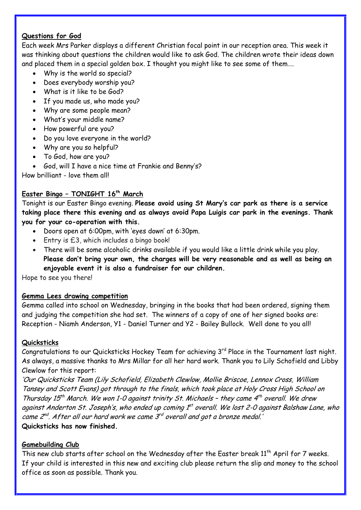# **Questions for God**

Each week Mrs Parker displays a different Christian focal point in our reception area. This week it was thinking about questions the children would like to ask God. The children wrote their ideas down and placed them in a special golden box. I thought you might like to see some of them….

- Why is the world so special?
- Does everybody worship you?
- What is it like to be God?
- If you made us, who made you?
- Why are some people mean?
- What's your middle name?
- How powerful are you?
- Do you love everyone in the world?
- Why are you so helpful?
- To God, how are you?
- God, will I have a nice time at Frankie and Benny's?

How brilliant - love them all!

# **Easter Bingo – TONIGHT 16th March**

Tonight is our Easter Bingo evening. **Please avoid using St Mary's car park as there is a service taking place there this evening and as always avoid Papa Luigis car park in the evenings. Thank you for your co-operation with this.**

- Doors open at 6:00pm, with 'eyes down' at 6:30pm.
- Entry is £3, which includes a bingo book!
- There will be some alcoholic drinks available if you would like a little drink while you play. **Please don't bring your own, the charges will be very reasonable and as well as being an enjoyable event it is also a fundraiser for our children.**

Hope to see you there!

## **Gemma Lees drawing competition**

Gemma called into school on Wednesday, bringing in the books that had been ordered, signing them and judging the competition she had set. The winners of a copy of one of her signed books are: Reception - Niamh Anderson, Y1 - Daniel Turner and Y2 - Bailey Bullock. Well done to you all!

## **Quicksticks**

Congratulations to our Quicksticks Hockey Team for achieving 3rd Place in the Tournament last night. As always, a massive thanks to Mrs Millar for all her hard work. Thank you to Lily Schofield and Libby Clewlow for this report:

'Our Quicksticks Team (Lily Schofield, Elizabeth Clewlow, Mollie Briscoe, Lennox Cross, William Tansey and Scott Evans) got through to the finals, which took place at Holy Cross High School on Thursday 15<sup>th</sup> March. We won 1-0 against trinity St. Michaels - they came  $4^{th}$  overall. We drew against Anderton St. Joseph's, who ended up coming 1<sup>st</sup> overall. We lost 2-0 against Balshaw Lane, who came 2 $^{nd}$ . After all our hard work we came 3 $^{rd}$  overall and got a bronze medal.' **Quicksticks has now finished.**

## **Gamebuilding Club**

This new club starts after school on the Wednesday after the Easter break 11<sup>th</sup> April for 7 weeks. If your child is interested in this new and exciting club please return the slip and money to the school office as soon as possible. Thank you.